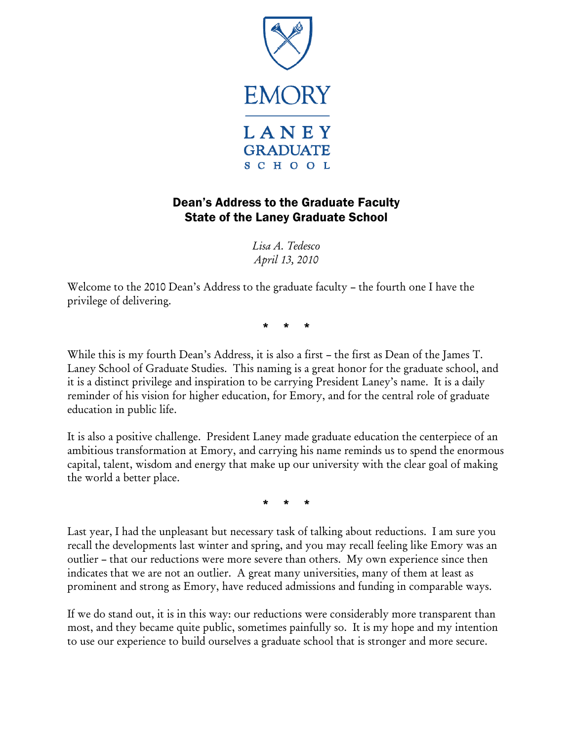

## Dean's Address to the Graduate Faculty State of the Laney Graduate School

*Lisa A. Tedesco April 13, 2010* 

Welcome to the 2010 Dean's Address to the graduate faculty – the fourth one I have the privilege of delivering.

\* \* \*

While this is my fourth Dean's Address, it is also a first – the first as Dean of the James T. Laney School of Graduate Studies. This naming is a great honor for the graduate school, and it is a distinct privilege and inspiration to be carrying President Laney's name. It is a daily reminder of his vision for higher education, for Emory, and for the central role of graduate education in public life.

It is also a positive challenge. President Laney made graduate education the centerpiece of an ambitious transformation at Emory, and carrying his name reminds us to spend the enormous capital, talent, wisdom and energy that make up our university with the clear goal of making the world a better place.

\* \* \*

Last year, I had the unpleasant but necessary task of talking about reductions. I am sure you recall the developments last winter and spring, and you may recall feeling like Emory was an outlier – that our reductions were more severe than others. My own experience since then indicates that we are not an outlier. A great many universities, many of them at least as prominent and strong as Emory, have reduced admissions and funding in comparable ways.

If we do stand out, it is in this way: our reductions were considerably more transparent than most, and they became quite public, sometimes painfully so. It is my hope and my intention to use our experience to build ourselves a graduate school that is stronger and more secure.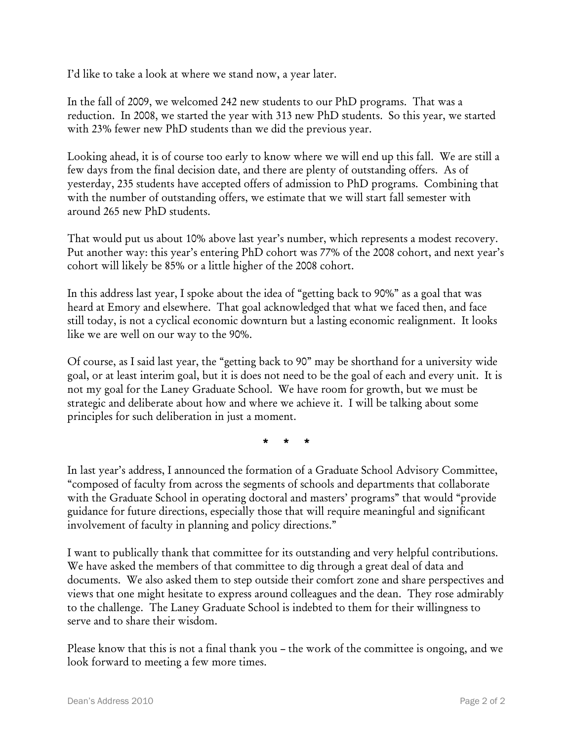I'd like to take a look at where we stand now, a year later.

In the fall of 2009, we welcomed 242 new students to our PhD programs. That was a reduction. In 2008, we started the year with 313 new PhD students. So this year, we started with 23% fewer new PhD students than we did the previous year.

Looking ahead, it is of course too early to know where we will end up this fall. We are still a few days from the final decision date, and there are plenty of outstanding offers. As of yesterday, 235 students have accepted offers of admission to PhD programs. Combining that with the number of outstanding offers, we estimate that we will start fall semester with around 265 new PhD students.

That would put us about 10% above last year's number, which represents a modest recovery. Put another way: this year's entering PhD cohort was 77% of the 2008 cohort, and next year's cohort will likely be 85% or a little higher of the 2008 cohort.

In this address last year, I spoke about the idea of "getting back to 90%" as a goal that was heard at Emory and elsewhere. That goal acknowledged that what we faced then, and face still today, is not a cyclical economic downturn but a lasting economic realignment. It looks like we are well on our way to the 90%.

Of course, as I said last year, the "getting back to 90" may be shorthand for a university wide goal, or at least interim goal, but it is does not need to be the goal of each and every unit. It is not my goal for the Laney Graduate School. We have room for growth, but we must be strategic and deliberate about how and where we achieve it. I will be talking about some principles for such deliberation in just a moment.

\* \* \*

In last year's address, I announced the formation of a Graduate School Advisory Committee, "composed of faculty from across the segments of schools and departments that collaborate with the Graduate School in operating doctoral and masters' programs" that would "provide guidance for future directions, especially those that will require meaningful and significant involvement of faculty in planning and policy directions."

I want to publically thank that committee for its outstanding and very helpful contributions. We have asked the members of that committee to dig through a great deal of data and documents. We also asked them to step outside their comfort zone and share perspectives and views that one might hesitate to express around colleagues and the dean. They rose admirably to the challenge. The Laney Graduate School is indebted to them for their willingness to serve and to share their wisdom.

Please know that this is not a final thank you – the work of the committee is ongoing, and we look forward to meeting a few more times.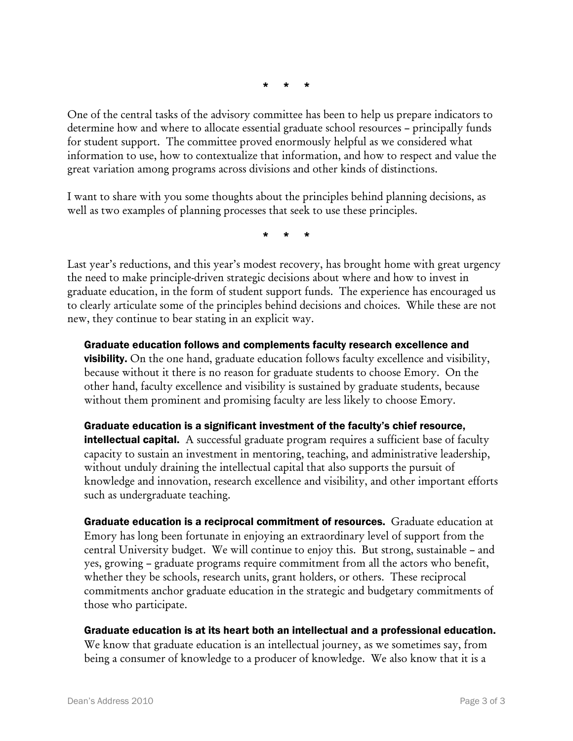\* \* \*

One of the central tasks of the advisory committee has been to help us prepare indicators to determine how and where to allocate essential graduate school resources – principally funds for student support. The committee proved enormously helpful as we considered what information to use, how to contextualize that information, and how to respect and value the great variation among programs across divisions and other kinds of distinctions.

I want to share with you some thoughts about the principles behind planning decisions, as well as two examples of planning processes that seek to use these principles.

\* \* \*

Last year's reductions, and this year's modest recovery, has brought home with great urgency the need to make principle-driven strategic decisions about where and how to invest in graduate education, in the form of student support funds. The experience has encouraged us to clearly articulate some of the principles behind decisions and choices. While these are not new, they continue to bear stating in an explicit way.

Graduate education follows and complements faculty research excellence and **visibility.** On the one hand, graduate education follows faculty excellence and visibility, because without it there is no reason for graduate students to choose Emory. On the other hand, faculty excellence and visibility is sustained by graduate students, because without them prominent and promising faculty are less likely to choose Emory.

Graduate education is a significant investment of the faculty's chief resource, **intellectual capital.** A successful graduate program requires a sufficient base of faculty capacity to sustain an investment in mentoring, teaching, and administrative leadership, without unduly draining the intellectual capital that also supports the pursuit of knowledge and innovation, research excellence and visibility, and other important efforts such as undergraduate teaching.

Graduate education is a reciprocal commitment of resources. Graduate education at Emory has long been fortunate in enjoying an extraordinary level of support from the central University budget. We will continue to enjoy this. But strong, sustainable – and yes, growing – graduate programs require commitment from all the actors who benefit, whether they be schools, research units, grant holders, or others. These reciprocal commitments anchor graduate education in the strategic and budgetary commitments of those who participate.

Graduate education is at its heart both an intellectual and a professional education. We know that graduate education is an intellectual journey, as we sometimes say, from being a consumer of knowledge to a producer of knowledge. We also know that it is a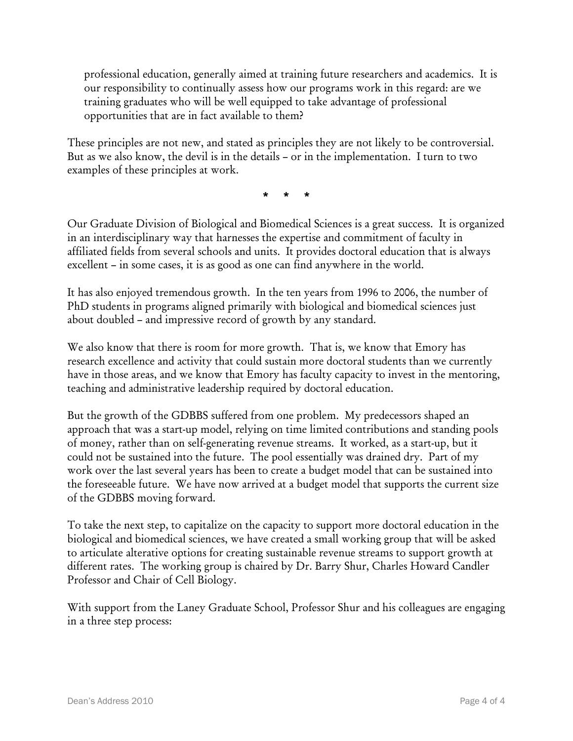professional education, generally aimed at training future researchers and academics. It is our responsibility to continually assess how our programs work in this regard: are we training graduates who will be well equipped to take advantage of professional opportunities that are in fact available to them?

These principles are not new, and stated as principles they are not likely to be controversial. But as we also know, the devil is in the details – or in the implementation. I turn to two examples of these principles at work.

\* \* \*

Our Graduate Division of Biological and Biomedical Sciences is a great success. It is organized in an interdisciplinary way that harnesses the expertise and commitment of faculty in affiliated fields from several schools and units. It provides doctoral education that is always excellent – in some cases, it is as good as one can find anywhere in the world.

It has also enjoyed tremendous growth. In the ten years from 1996 to 2006, the number of PhD students in programs aligned primarily with biological and biomedical sciences just about doubled – and impressive record of growth by any standard.

We also know that there is room for more growth. That is, we know that Emory has research excellence and activity that could sustain more doctoral students than we currently have in those areas, and we know that Emory has faculty capacity to invest in the mentoring, teaching and administrative leadership required by doctoral education.

But the growth of the GDBBS suffered from one problem. My predecessors shaped an approach that was a start-up model, relying on time limited contributions and standing pools of money, rather than on self-generating revenue streams. It worked, as a start-up, but it could not be sustained into the future. The pool essentially was drained dry. Part of my work over the last several years has been to create a budget model that can be sustained into the foreseeable future. We have now arrived at a budget model that supports the current size of the GDBBS moving forward.

To take the next step, to capitalize on the capacity to support more doctoral education in the biological and biomedical sciences, we have created a small working group that will be asked to articulate alterative options for creating sustainable revenue streams to support growth at different rates. The working group is chaired by Dr. Barry Shur, Charles Howard Candler Professor and Chair of Cell Biology.

With support from the Laney Graduate School, Professor Shur and his colleagues are engaging in a three step process: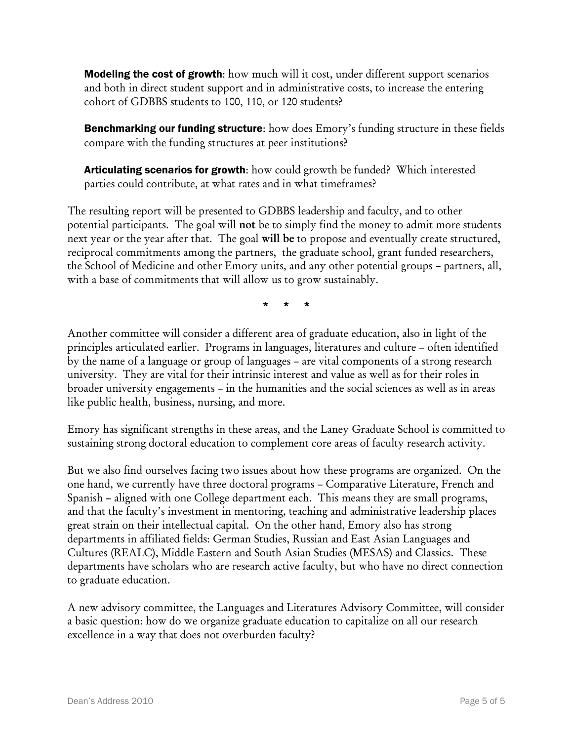**Modeling the cost of growth**: how much will it cost, under different support scenarios and both in direct student support and in administrative costs, to increase the entering cohort of GDBBS students to 100, 110, or 120 students?

**Benchmarking our funding structure:** how does Emory's funding structure in these fields compare with the funding structures at peer institutions?

Articulating scenarios for growth: how could growth be funded? Which interested parties could contribute, at what rates and in what timeframes?

The resulting report will be presented to GDBBS leadership and faculty, and to other potential participants. The goal will not be to simply find the money to admit more students next year or the year after that. The goal will be to propose and eventually create structured, reciprocal commitments among the partners, the graduate school, grant funded researchers, the School of Medicine and other Emory units, and any other potential groups – partners, all, with a base of commitments that will allow us to grow sustainably.

\* \* \*

Another committee will consider a different area of graduate education, also in light of the principles articulated earlier. Programs in languages, literatures and culture – often identified by the name of a language or group of languages – are vital components of a strong research university. They are vital for their intrinsic interest and value as well as for their roles in broader university engagements – in the humanities and the social sciences as well as in areas like public health, business, nursing, and more.

Emory has significant strengths in these areas, and the Laney Graduate School is committed to sustaining strong doctoral education to complement core areas of faculty research activity.

But we also find ourselves facing two issues about how these programs are organized. On the one hand, we currently have three doctoral programs – Comparative Literature, French and Spanish – aligned with one College department each. This means they are small programs, and that the faculty's investment in mentoring, teaching and administrative leadership places great strain on their intellectual capital. On the other hand, Emory also has strong departments in affiliated fields: German Studies, Russian and East Asian Languages and Cultures (REALC), Middle Eastern and South Asian Studies (MESAS) and Classics. These departments have scholars who are research active faculty, but who have no direct connection to graduate education.

A new advisory committee, the Languages and Literatures Advisory Committee, will consider a basic question: how do we organize graduate education to capitalize on all our research excellence in a way that does not overburden faculty?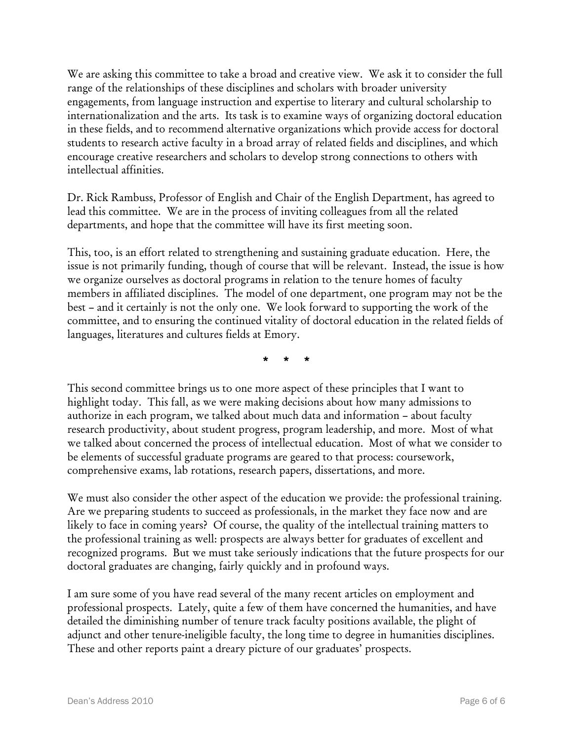We are asking this committee to take a broad and creative view. We ask it to consider the full range of the relationships of these disciplines and scholars with broader university engagements, from language instruction and expertise to literary and cultural scholarship to internationalization and the arts. Its task is to examine ways of organizing doctoral education in these fields, and to recommend alternative organizations which provide access for doctoral students to research active faculty in a broad array of related fields and disciplines, and which encourage creative researchers and scholars to develop strong connections to others with intellectual affinities.

Dr. Rick Rambuss, Professor of English and Chair of the English Department, has agreed to lead this committee. We are in the process of inviting colleagues from all the related departments, and hope that the committee will have its first meeting soon.

This, too, is an effort related to strengthening and sustaining graduate education. Here, the issue is not primarily funding, though of course that will be relevant. Instead, the issue is how we organize ourselves as doctoral programs in relation to the tenure homes of faculty members in affiliated disciplines. The model of one department, one program may not be the best – and it certainly is not the only one. We look forward to supporting the work of the committee, and to ensuring the continued vitality of doctoral education in the related fields of languages, literatures and cultures fields at Emory.

\* \* \*

This second committee brings us to one more aspect of these principles that I want to highlight today. This fall, as we were making decisions about how many admissions to authorize in each program, we talked about much data and information – about faculty research productivity, about student progress, program leadership, and more. Most of what we talked about concerned the process of intellectual education. Most of what we consider to be elements of successful graduate programs are geared to that process: coursework, comprehensive exams, lab rotations, research papers, dissertations, and more.

We must also consider the other aspect of the education we provide: the professional training. Are we preparing students to succeed as professionals, in the market they face now and are likely to face in coming years? Of course, the quality of the intellectual training matters to the professional training as well: prospects are always better for graduates of excellent and recognized programs. But we must take seriously indications that the future prospects for our doctoral graduates are changing, fairly quickly and in profound ways.

I am sure some of you have read several of the many recent articles on employment and professional prospects. Lately, quite a few of them have concerned the humanities, and have detailed the diminishing number of tenure track faculty positions available, the plight of adjunct and other tenure-ineligible faculty, the long time to degree in humanities disciplines. These and other reports paint a dreary picture of our graduates' prospects.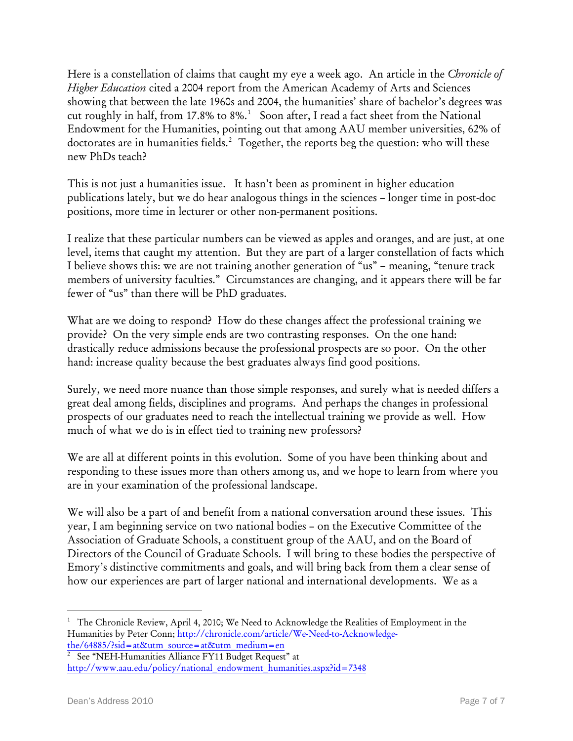Here is a constellation of claims that caught my eye a week ago. An article in the *Chronicle of Higher Education* cited a 2004 report from the American Academy of Arts and Sciences showing that between the late 1960s and 2004, the humanities' share of bachelor's degrees was cut roughly in half, from [1](#page-6-0)7.8% to  $8\%$ .<sup>1</sup> Soon after, I read a fact sheet from the National Endowment for the Humanities, pointing out that among AAU member universities, 62% of doctorates are in humanities fields.<sup>[2](#page-6-1)</sup> Together, the reports beg the question: who will these new PhDs teach?

This is not just a humanities issue. It hasn't been as prominent in higher education publications lately, but we do hear analogous things in the sciences – longer time in post-doc positions, more time in lecturer or other non-permanent positions.

I realize that these particular numbers can be viewed as apples and oranges, and are just, at one level, items that caught my attention. But they are part of a larger constellation of facts which I believe shows this: we are not training another generation of "us" – meaning, "tenure track members of university faculties." Circumstances are changing, and it appears there will be far fewer of "us" than there will be PhD graduates.

What are we doing to respond? How do these changes affect the professional training we provide? On the very simple ends are two contrasting responses. On the one hand: drastically reduce admissions because the professional prospects are so poor. On the other hand: increase quality because the best graduates always find good positions.

Surely, we need more nuance than those simple responses, and surely what is needed differs a great deal among fields, disciplines and programs. And perhaps the changes in professional prospects of our graduates need to reach the intellectual training we provide as well. How much of what we do is in effect tied to training new professors?

We are all at different points in this evolution. Some of you have been thinking about and responding to these issues more than others among us, and we hope to learn from where you are in your examination of the professional landscape.

We will also be a part of and benefit from a national conversation around these issues. This year, I am beginning service on two national bodies – on the Executive Committee of the Association of Graduate Schools, a constituent group of the AAU, and on the Board of Directors of the Council of Graduate Schools. I will bring to these bodies the perspective of Emory's distinctive commitments and goals, and will bring back from them a clear sense of how our experiences are part of larger national and international developments. We as a

<span id="page-6-0"></span> $\overline{a}$ <sup>1</sup> The Chronicle Review, April 4, 2010; We Need to Acknowledge the Realities of Employment in the Humanities by Peter Conn; [http://chronicle.com/article/We-Need-to-Acknowledge](http://chronicle.com/article/We-Need-to-Acknowledge-the/64885/?sid=at&utm_source=at&utm_medium=en)[the/64885/?sid=at&utm\\_source=at&utm\\_medium=en](http://chronicle.com/article/We-Need-to-Acknowledge-the/64885/?sid=at&utm_source=at&utm_medium=en) 2

<span id="page-6-1"></span><sup>&</sup>lt;sup>2</sup> See "NEH-Humanities Alliance FY11 Budget Request" at [http://www.aau.edu/policy/national\\_endowment\\_humanities.aspx?id=7348](http://www.aau.edu/policy/national_endowment_humanities.aspx?id=7348)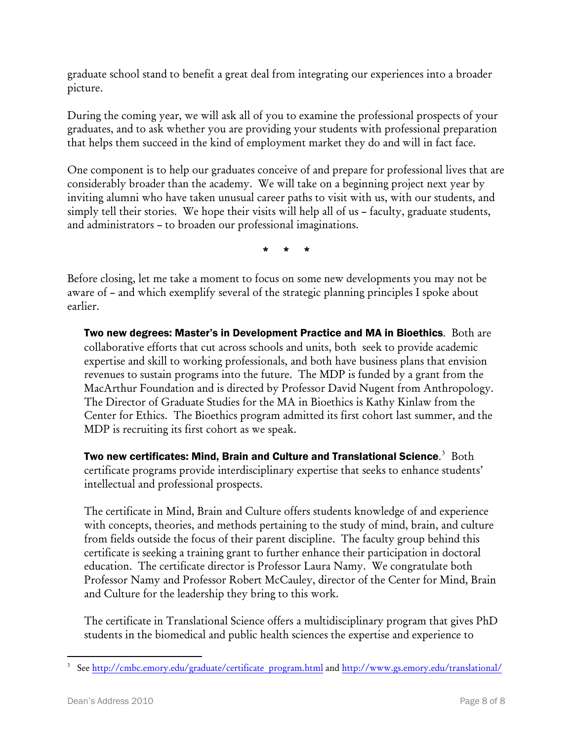graduate school stand to benefit a great deal from integrating our experiences into a broader picture.

During the coming year, we will ask all of you to examine the professional prospects of your graduates, and to ask whether you are providing your students with professional preparation that helps them succeed in the kind of employment market they do and will in fact face.

One component is to help our graduates conceive of and prepare for professional lives that are considerably broader than the academy. We will take on a beginning project next year by inviting alumni who have taken unusual career paths to visit with us, with our students, and simply tell their stories. We hope their visits will help all of us – faculty, graduate students, and administrators – to broaden our professional imaginations.

\* \* \*

Before closing, let me take a moment to focus on some new developments you may not be aware of – and which exemplify several of the strategic planning principles I spoke about earlier.

Two new degrees: Master's in Development Practice and MA in Bioethics. Both are collaborative efforts that cut across schools and units, both seek to provide academic expertise and skill to working professionals, and both have business plans that envision revenues to sustain programs into the future. The MDP is funded by a grant from the MacArthur Foundation and is directed by Professor David Nugent from Anthropology. The Director of Graduate Studies for the MA in Bioethics is Kathy Kinlaw from the Center for Ethics. The Bioethics program admitted its first cohort last summer, and the MDP is recruiting its first cohort as we speak.

Two new certificates: Mind, Brain and Culture and Translational Science. $^3$  $^3$  Both certificate programs provide interdisciplinary expertise that seeks to enhance students' intellectual and professional prospects.

The certificate in Mind, Brain and Culture offers students knowledge of and experience with concepts, theories, and methods pertaining to the study of mind, brain, and culture from fields outside the focus of their parent discipline. The faculty group behind this certificate is seeking a training grant to further enhance their participation in doctoral education. The certificate director is Professor Laura Namy. We congratulate both Professor Namy and Professor Robert McCauley, director of the Center for Mind, Brain and Culture for the leadership they bring to this work.

The certificate in Translational Science offers a multidisciplinary program that gives PhD students in the biomedical and public health sciences the expertise and experience to

<span id="page-7-0"></span><sup>&</sup>lt;u>.</u> <sup>3</sup> See [http://cmbc.emory.edu/graduate/certificate\\_program.html](http://cmbc.emory.edu/graduate/certificate_program.html) and<http://www.gs.emory.edu/translational/>